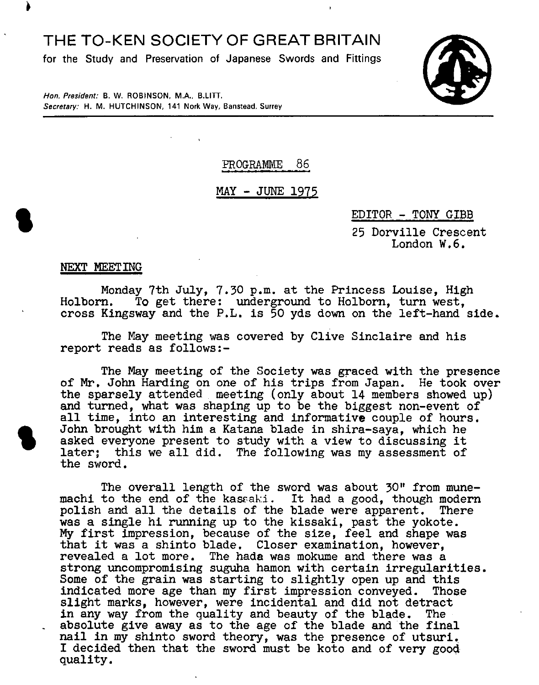## THE TO-KEN SOCIETY OF GREAT BRITAIN

**for the Study and Preservation of Japanese Swords and Fittings** 



**Hon. President: B.** W. ROBINSON, MA., B.LITT. Secretary: H. M. HUTCHINSON, 141 Nork Way, Banstead, Surrey

## **PROGRAMME** 86

### <u>MAY - JUNE 1975</u>

#### EDITOR - TONY GIBB

25 Dorville Crescent London W.6.

NEXT MEETING

Monday 7th July, 7.30 p.m. at the Princess Louise, High Holborn. To get there: underground to Holborn, turn west. To get there: underground to Holborn, turn west, cross Kingsway and the P.L. is 50 yds down on the left-hand side.

The May meeting was covered by Clive Sinclaire and his report reads as follows:-

The May meeting of the Society was graced with the presence of Mr. John Harding on one of his trips from Japan. He took over the sparsely attended, meeting (only about 14 members showed up) and turned, what was shaping up to be the biggest non-event of all time, into an interesting and informative couple of hours.<br>John brought with him a Katana blade in shira-saya, which he asked everyone present to study wit all time, into an interesting and informative couple of hours.<br>John brought with him a Katana blade in shira-saya, which he asked everyone present to study with a view to discussing it later; this we all did. The following was my assessment of the sword.

The overall length of the sword was about 30" from munemachi to the end of the kassaki. It had a good, though modern polish and all the details of the blade were apparent. There was a single hi running up to the kissaki, past the yokote. My first impression, because of the size, feel and shape was that it was a shinto blade. Closer examination, however, revealed a lot more. The hada was mokume and there was a strong uncompromising suguha hamon with certain irregularities. Some of the grain was starting to slightly open up and this indicated more age than my first impression conveyed. Those slight marks, however, were incidental and did not detract in any way from the quality and beauty of the blade. The absolute give away as to the age of the blade and the final nail in my shinto sword theory, was the presence of utsuri. I decided then that the sword must be koto and of very goo4 quality.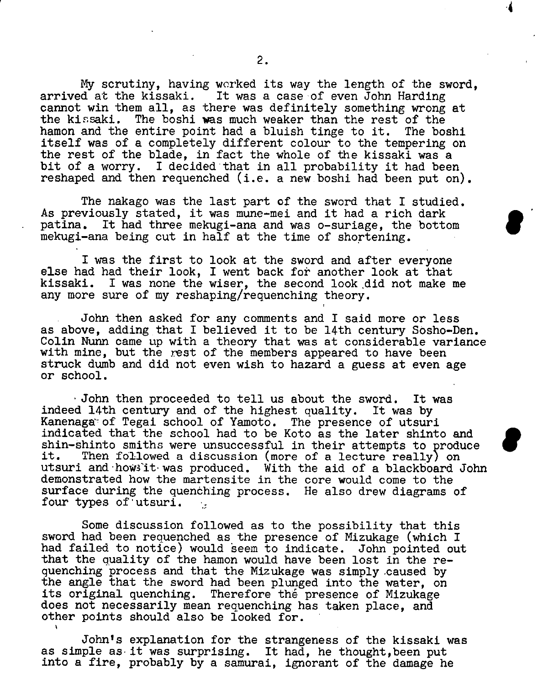My scrutiny, having worked its way the length of the sword, arrived at the kissaki. It was a case of even John Harding cannot win them all, as there was definitely something wrong at the kissaki. The boshi was much weaker than the rest of the hamon and the entire point had a bluish tinge to it. The boshi itself was of a completely different colour to the tempering on the rest of the blade, in fact the whole of the kissaki was a bit of a worry. I decided that in all probability it had been reshaped and then requenched (i.e. a new boshi had been put on).

The nakago was the last part of the sword that I studied. As previously stated, it was mune-mei and it had a rich dark patina. It had three mekugi-ana and was o-suriage, the bottom mekugi-ana being cut in half at the time of shortening.

I was the first to look at the sword and after everyone else had had their look, I went back for another look at that kissaki. I was none the wiser, the second look did not make me any more sure of my reshaping/requenching theory.

John then asked for any comments and I said more or less as above, adding that I believed it to be 14th century Sosho-Den. Colin Nunn came up with a theory that was at considerable variance with mine, but the rest of the members appeared to have been struck dumb and did not even wish to hazard a guess at even age or school.

John then proceeded to tell us about the sword. It was indeed 14th century and of the highest quality. It was by Kanenaga of Tegai school of Yamoto. The presence of utsuri indicated that the school had to be Koto as the later shinto and shin-shinto smiths were unsuccessful in their attempts to produce<br>it. Then followed a discussion (more of a lecture really) on Then followed a discussion (more of a lecture really) on utsuri and how it was produced. With the aid of a blackboard John demonstrated how the martensite in the core would come to the surface during the quenching process. He also drew diagrams of four types of utsuri.  $\mathcal{L}$ 

Some discussion followed as to the possibility that this sword had been requenched as the presence of Mizukage (which I had failed to notice) would seem to indicate. John pointed out that the quality of the hamon would have been lost in the requenching process and that the Mizukage was simply caused by the angle that the sword had been plunged into the water, on its original quenching. Therefore the presence of Mizukage does not necessarily mean requenching has taken place, and other points should also be looked for.

John's explanation for the strangeness of the kissaki was as simple as it was surprising. It had, he thought,been put into a fire, probably by a samurai, ignorant of the damage he

.4

 $\bullet$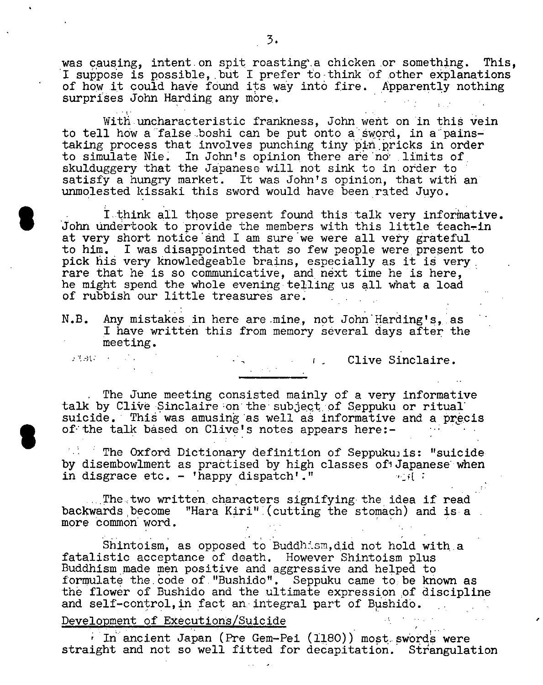was causing, intent on spit roasting'a chicken or something. This, I suppose is possible, but I prefer to think of other explanations of how it could have found its way into fire. Apparently nothing surprises John Harding any more.

With uncharacteristic frankness, John went on in this vein to tell how a false boshi can be put onto a sword, in a painstaking process that involves punching tiny pin pricks in order to simulate Nie. In John's opinion there are not limits of skulduggery that the Japanese will not sink to in order to satisfy a hungry market. It was John's opinion, that with an unmolested kissaki this sword would have been rated Juyo.

I think all those present found this talk very informative. John undertook to provide the members with this little teach-in at very short notice and I am sure we were all very grateful to him. I was disappointed that so few people were present to pick his very knowledgeable brains, especially as it is very. rare that he is so communicative, and next time he is here, he might spend the whole evening telling us all what a load of rubbish our little treasures are.

N.B. Any mistakes in here are mine, not John Harding's, as I have written this from memory several days after the meeting.

Clive Sinclaire.

The June meeting consisted mainly of a very informative talk by Clive Sinclaire on the subject of Seppuku or ritual suicide. This was amusing as well as informative and a precis of the talk based on Clive's notes appears here:-

The Oxford Dictionary definition of Seppukuis: "suicide by disembowlment as practised by high classes of Japanese when in disgrace etc. - 'happy dispatch'." in disgrace etc. - 'happy dispatch'."

The two written characters signifying the idea if read backwards become "Hara Kiri" (cutting the stomach) and is a more common word.

Shintoism, as opposed to Buddhism, did not hold with a fatalistic acceptance of death. However Shintoism plus Buddhism made men positive and aggressive and helped to formulate the code of "Bushido". Seppuku came to be known as the flower of Bushido and the ultimate expression of discipline and self-control, in fact an integral part of Bushido.

#### Development of Executions/Suicide

 $\mathcal{F}^{\dagger}_{\mathbf{c}}(\mathcal{A})\mathcal{G}^{\dagger}_{\mathbf{c}}(\mathcal{A})=\mathcal{F}^{\dagger}_{\mathbf{c}}(\mathcal{A})$ 

 $i$  In ancient Japan (Pre Gem-Pei (1180)) most swords were straight and not so well fitted for decapitation. Strangulation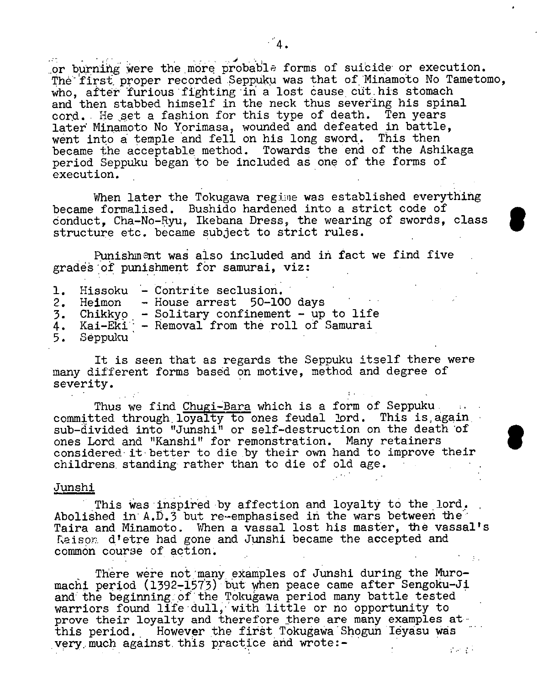or burning were the more probable forms of suicide or execution. The first proper recorded Seppuku was that of Minamoto No Tametomo, who, after furious fighting in a lost cause cut his stomach and then stabbed himself in the neck thus severing his spinal cord. He set a fashion for this type of death. Ten years 1ater Minamoto No Yorimasa, wounded and defeated in battle, went into a temple and fell on his long sword. This then became the acceptable method. Towards the end of the Ashikaga period Seppuku began to be included as one of the forms of execution.

When later the Tokugawa regime was established everything became formalised. Bushido hardened into a strict code of conduct, Cha-No-Ryu, Ikebana Dress, the wearing of swords, class structure etc. became subject to strict rules.

Punishment was also included and in fact we find five grades of punishment for samurai, viz:

|            | 1. Hissoku - Contrite seclusion.               |
|------------|------------------------------------------------|
|            | 2. Heimon - House arrest 50-100 days           |
|            | 3. Chikkyo - Solitary confinement - up to life |
|            | 4. Kai-Eki - Removal from the roll of Samurai  |
| 5. Seppuku |                                                |

It is seen that as regards the Seppuku itself there were many different forms based on motive, method and degree of severity.

Thus we find Chugi-Bara which is a form of Seppuku committed through loyalty to ones feudal  $2$ ord. This is again  $\overline{\phantom{a}}$ sub-divided into "Junshi" or self-destruction on the death of ones Lord and "Kanshi" for remonstration. Many retainers considered it better to die by their own hand to improve their childrens. standing rather than to die of old age.

S

#### Junshi

This was inspired by affection and loyalty to the lord. Abolished in A.D.3 but re-emphasised in the wars between the Taira and Minamoto. When a vassal lost his master, the vassal's Raison d'etre had gone and Junshi became the accepted and common course of action.

There were not many examples of Junshi during the Muromachi period  $(1392-1573)$  but when peace came after Sengoku-Ji and the beginning of the Tokugawa period many battle tested warriors found life dull, with little or no opportunity to prove their loyalty and therefore there are many examples at this period. However the first Tokugawa Shogun Iéyasu was very much against this practice and wrote:- $\mathcal{L}_{\text{max}}$  and  $\mathcal{L}_{\text{max}}$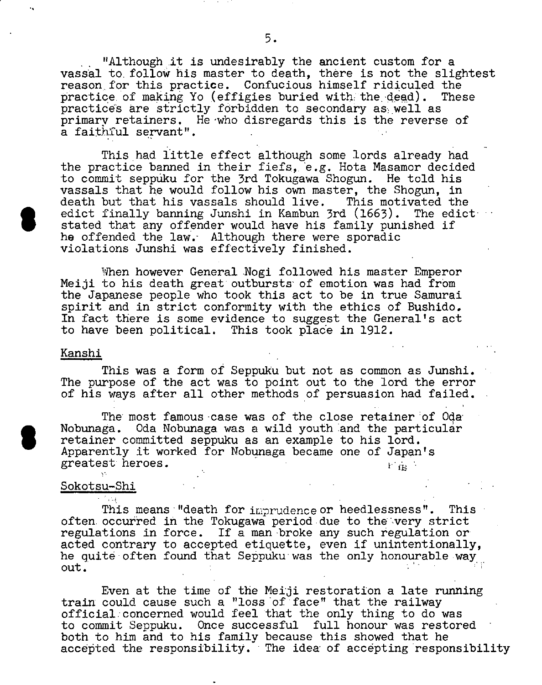"Although it is undesirably the ancient custom for a vassal to. follow his master to death, there is not the slightest reason, for this practice. Confucious himself ridiculed the practice of making Yo (effigies buried with the dead). These practices are strictly forbidden to secondary as well as primary retainers. He'who disregards this is the reverse of a faithful servant".

This had little effect although some lords already had the practice banned in their fiefs, e.g. Hota Masamor decided to commit seppiiku for the 3rd Tokugawa Shogun. He told his vassals that he would follow his own master, the Shogun, in death but that his vassals should live. This motivated the edict finally banning Junshi in Kambun 3rd (1663). The edict edict finally banning Junshi in Kambun 3rd (1663). The edict<br>Stated that any offender would have his family punished if<br>he offended the law . Although there were sporedic he offended the law. Although there were sporadic violations Junshi was effectively finished.

When however General Nogi followed his master Emperor Meiji to his death great outbursts' of emotion was had from the Japanese people who took this act to be in true Samurai spirit and in strict conformity with the ethics of Bushido. In fact there is some evidence to suggest the General's act to have been political. This took place in 1912.

#### Kanshi

This was a form of Seppuku but not as common as Junshi. The purpose of the act was to point out to the lord the error of his ways after all other methods of persuasion had failed.

The most famous case was of the close retainer of Oda Nobunaga. Oda Nobunaga was a wild youth and the particular Nobunaga. Oda Nobunaga was a wild youth and the particular<br>retainer committed seppuku as an example to his lord.<br>Apparently it worked for Nobunaga became one of Japan's retainer committed seppuku as an example to his lord. greatest heroes.  $1 \text{ m}$ 

#### S okotsu—Shi

ी हेर्नु ।

This means "death for imprudence or heedlessness". This often occurred in the Tokugawa period due to the-very strict regulations in force. If a man-broke any such regulation or acted contrary to accepted etiquette, even if unintentionally, he quite often found that Seppuku was the only honourable way out.

Even at the time of the Neiji restoration a late running train could cause such a "loss 'of'face" that the railway official:concerned would feel that the only thing to do was to commit Seppuku. Once successful full honour was restored both to him and to his family because this showed that he accepted the responsibility. The idea of accepting responsibility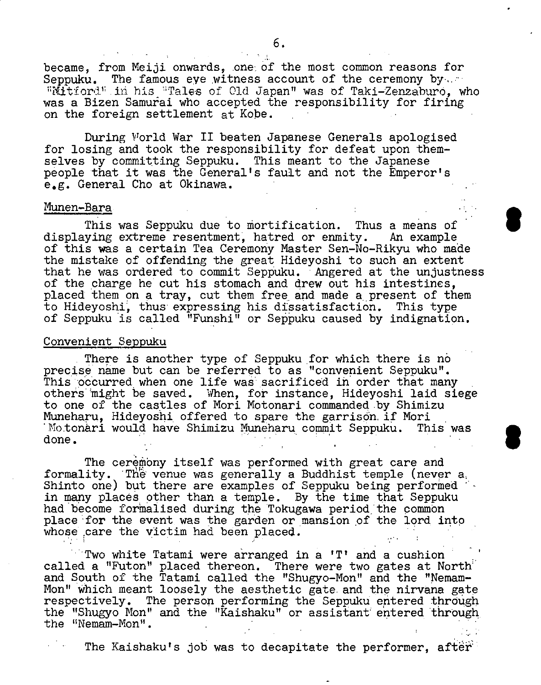became, from Meiji onwards, one of the most common reasons for Seppuku. The famous eye witness account of the ceremony by "Mitiord" in his "Tales of Old Japan" was of Taki-Zenzaburo, who was a Bizen Samurai who accepted the responsibility for firing on the foreign settlement at Kobe.

During World War II beaten Japanese Generals apologised for losing and took the responsibility for defeat upon themselves by committing Seppuku. This meant to the Japanese people that it was the General's fault and not the Emperor's e.g. General Cho at Okinawa.

#### Munen-Bara

This was Seppuku due to mortification. Thus a means of displaying extreme resentment; hatred or enmity. An example of this was a certain Tea Ceremony Master Sen-No-Rikyu who made the mistake of offending the great Hideyoshi to such an extent that he was ordered to commit Seppuku. Angered at the unjustness of the charge he cut his stomach and drew out his intestines, placed them on a tray, cut them free and made a present of them to Hideyoshi, thus expressing his dissatisfaction. This type of Seppuku is called "Funshi" or Seppuku caused by indignation.

### Convenient Seppuku

There is another type of Seppuku for which there is no precise name but can be referred to as "convenient Seppuku". This occurred when one life was sacrificed in order that many others might be saved. When, for instance, Hideyoshi laid siege to one of the castles of Mori Motonani commanded by Shimizu Muneharu, Hideyoshi offered to spare the garrison if Mori<br>'Motonari would have Shimizu Muneharu commit Seppuku. This was  $^{\circ}$ Motonari would have Shimizu Muneharu commit Seppuku. done.

The ceremony itself was performed with great care and formality. The venue was generally a Buddhist temple (never a, Shinto one) but there are examples of Seppuku being performed in many places other than a temple. By the time that Seppuku had become formalised during the Tokugawa period the common place for the event was the garden or mansion of the lord into whose care the victim had been placed.

Two white Tatami were arranged in a 'T' and a cushion called a "Futon" placed thereon. There were two gates at North and South of the Tatami called the "Shugyo-Mon" and the "Nemam-Mon" which meant loosely the aesthetic gate. and the nirvana gate respectively. The person performing the Seppuku entered through the "Shugyo Non" and the "Kaishaku" or assistant entered through. the 'Nemam-Mon".

The Kaishaku's job was to decapitate the performer, after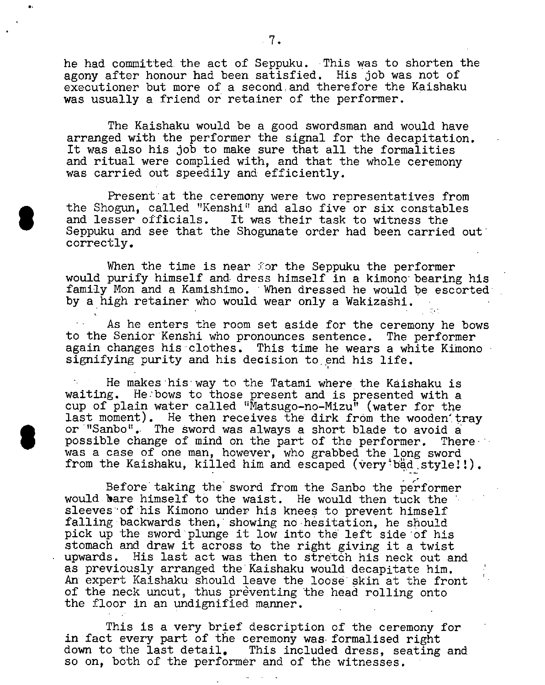he had committed. the act of Seppuku. This was to shorten the agony after honour had been satisfied. His job was not of executioner but more of a second and therefore the Kaishaku was usually a friend or retainer of the performer.

The Kaishaku would be a good swordsman and would have arranged with the performer the signal for the decapitation. It was also his job to make sure that all the formalities and ritual were complied with, and that the whole ceremony was carried out speedily and efficiently.

Present at the ceremony were two representatives from<br>the Shogun. called "Kenshi" and also five or six constables Shogun, called "Kenshi" and also five or six constables<br>and lesser officials. It was their task to witness the<br>Seppuku and see that the Shogunate order had been carried out and lesser officials. It was their task to witness the correctly.

When the time is near for the Seppuku the performer would purify himself and dress himself in a kimono bearing his family Mon and a Kamishimo. When dressed he would be escorted by a high retainer who would wear only a Wakizaâhi.

As he enters the room set aside for the ceremony he bows to the Senior Kenshi who pronounces sentence. The performer again changes his clothes. This time he wears a white Kimono signifying purity and his decision to end his life.

He makes his way to the Tatami where the Kaishaku is waiting. He:bows to those present and is presented with a cup of plain water called "Matsugo-no-Mizu" (water for the last moment). He then receives the dirk from the wooden trav or "Sanbo". The sword was always a short blade to avoid a possible change of mind on the part of the performer. There possible change of mind on the part of the performer. was a case of one man, however, who grabbed the long sword from the Kaishaku, killed him and escaped (very bad style!!).

Before taking the sword from the Sanbo the pe'rformer would bare himself to the waist. He would then tuck the sleeves of his Kimono under his knees to prevent himself falling backwards then, showing no-hesitation, he should pick up the sword plunge it low into the left side of his stomach and draw it across to the right giving it a twist upwards. His last act was then to stretch his neck out and as previously arranged the Kaishaku would decapitate him. An expert Kaishaku should leave the loose skin at the front of the neck uncut, thus preventing the head rolling onto the floor in an undignified manner.

This is a very brief description of the ceremony for in fact every part of the ceremony was formalised right down to the last detail. This included dress, seating and so on, both of the performer and of the witnesses.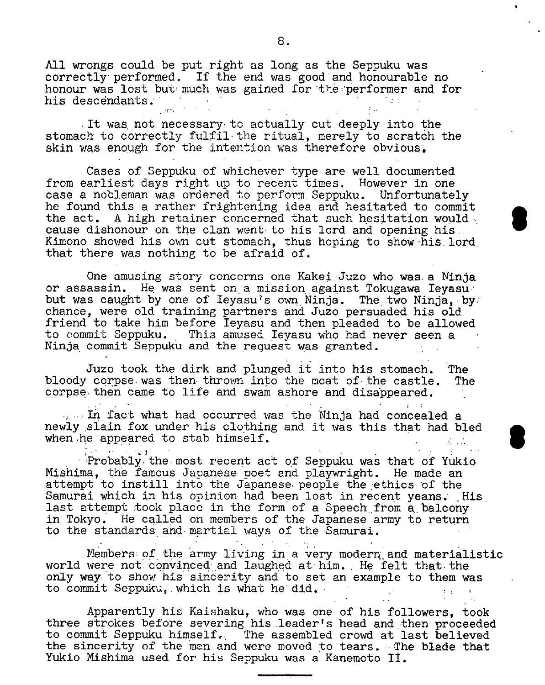All wrongs could be put right as long as the Seppuku was  $correctly performed.$  If the end was good and honourable no honour was lost but much was gained for the performer and for his descendants.

It was not necessary to actually cut deeply into the stomach to correctly fulfil the ritual, merely to scratch the skin was enough for the intention was therefore obvious.

Cases of Seppuku of whichever type are well documented from earliest days right up to recent times. However in one case a nobleman was ordered to perform Seppuku. Unfortunately he found this a rather frightening idea and hesitated to commit the act. A high retainer concerned that such hesitation would cause dishonour on the clan went to his lord and opening his Kimono showed his own cut stomach, thus hoping to show his lord that there was nothing to be afraid of.

One amusing story concerns one Kakei- Juzo who was. a Ninja or assassin. He was sent on a mission against Tokugawa. Ieyasubut was caught by one of Ieyasu's own Ninja. The two Ninja, by: chance, were old training partners and Juzo persuaded his old friend to take him before Ieyasu and then pleaded to be allowed to commit Seppuku. This amused Ieyasu who had never seen a Ninja commit Seppuku and the request was granted. -

Juzo took the dirk and plunged it into his stomach. The bloody corpse- was then- thrown into the moat of the castle. The corpse-then came to life and swam ashore and disappeared.

 $\sim$  In fact what had occurred was the Ninja had concealed a newly slain fox under his clothing and it was this that had bled when he appeared to stab himself.  $\Lambda \to \Lambda$ 

 $\sim 1$ - Probably the most recent act of Seppuku was that of Yukio Mishima, the famous Japanese poet and playwright. He made an attempt to instill into the Japanese people the ethics of the Samurai which in his opinion had been lost in recent yeans. His last attempt took place in the form of a- Speech from a balconyin Tokyo. He called on members of the Japanese army to return to the standards and martial ways of the Samurai.

Members of the army living in a very modern and materialistic world were not convinced and laughed at him. He felt that the only way to show his sincerity and to set an example to them was to commit Seppuku, which is what he did.

Apparently his Kaishaku, who was one of his followers, took three strokes before severing his,.leader's head and then proceeded to commit Seppuku himself. The assembled crowd at last believed the sincerity of the man-and were moved to tears. The blade that Yukio Mishima used for his Seppuku was a Kanemoto II.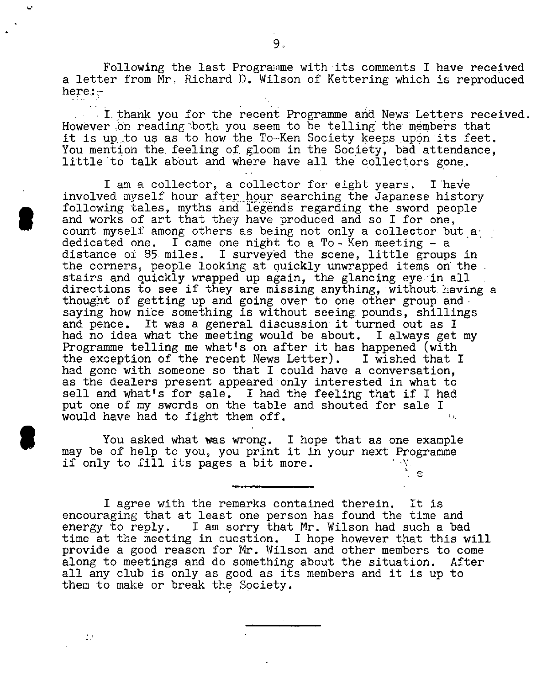Following the last Programme with its comments I have received a letter from Nr. Richard D. Wilson of Kettering which is reproduced here:-

I thank you for the recent Programme and News Letters received. However on reading both you seem to be telling the members that it is up to us as to how the To-Ken Society keeps upon its feet. You mention the feeling of gloom in the Society, bad attendance, little to talk about and where have all the collectors gone.

I am a collector, a collector for eight years. I have involved myself hour after hour searching the Japanese history following tales, myths and legends regarding the sword people and works of art that they have produced and so I for one, count myself among others as being not only a collector but a' dedicated one. I came one night to a To-Ken meeting  $-$  a distance oi 85. miles. I surveyed the scene, little groups in the corners, people looking at quickly unwrapped items on the stairs and quickly wrapped up again, the glancing eye. in all directions to see if they are missing anything, without. having a thought of getting up and going over to one other group and saying how nice something is without seeing pounds, shillings and pence. It was a general discussion' it turned out as I had no idea what the meeting would be about. I always get my Programme telling me what's on after it has happened (with the exception of the recent News Letter). I wished that I had gone with someone so that I could'have a conversation, as the dealers present appeared only interested in what to sell and what's for sale. I had the feeling that if I had put one of my swords on the table and shouted for sale I would have had to fight them off.

You asked what was wrong. I hope that as one example may be of help to you, you print it in your next Programme if only to fill its pages a bit more.

I agree with the remarks contained therein. It is encouraging that at least one person has found the time and energy to reply. I am sorry that Mr. Wilson had such a bad I am sorry that Mr. Wilson had such a bad time at the meeting in question. I hope however that this will provide a good reason for Mr. Wilson and other members to come along to meetings and do something about the situation. After along to meetings and do something about the situation. all any club is only as good as its members and it is up to them to make or break the Society.

 $\mathbb{Z}^+$ 

 $\epsilon$